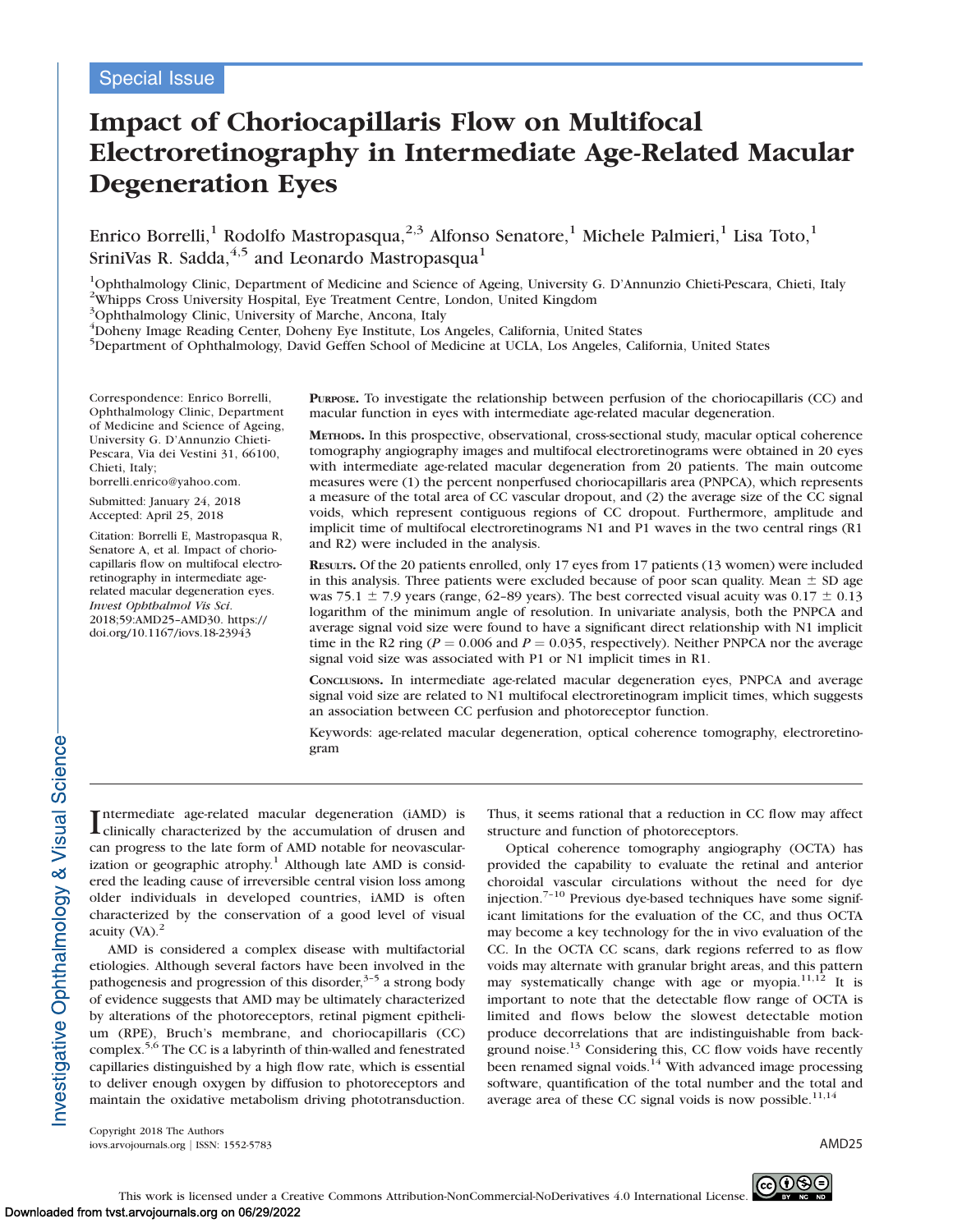# Impact of Choriocapillaris Flow on Multifocal Electroretinography in Intermediate Age-Related Macular Degeneration Eyes

Enrico Borrelli, $^1$  Rodolfo Mastropasqua, $^{2,3}$  Alfonso Senatore, $^1$  Michele Palmieri, $^1$  Lisa Toto, $^1$ SriniVas R. Sadda,  $4.5$  and Leonardo Mastropasqua<sup>1</sup>

<sup>1</sup>Ophthalmology Clinic, Department of Medicine and Science of Ageing, University G. D'Annunzio Chieti-Pescara, Chieti, Italy

<sup>2</sup>Whipps Cross University Hospital, Eye Treatment Centre, London, United Kingdom

<sup>3</sup>Ophthalmology Clinic, University of Marche, Ancona, Italy

4 Doheny Image Reading Center, Doheny Eye Institute, Los Angeles, California, United States

5 Department of Ophthalmology, David Geffen School of Medicine at UCLA, Los Angeles, California, United States

Correspondence: Enrico Borrelli, Ophthalmology Clinic, Department of Medicine and Science of Ageing, University G. D'Annunzio Chieti-Pescara, Via dei Vestini 31, 66100, Chieti, Italy;

borrelli.enrico@yahoo.com.

Submitted: January 24, 2018 Accepted: April 25, 2018

Citation: Borrelli E, Mastropasqua R, Senatore A, et al. Impact of choriocapillaris flow on multifocal electroretinography in intermediate agerelated macular degeneration eyes. Invest Ophthalmol Vis Sci. 2018;59:AMD25–AMD30. https:// doi.org/10.1167/iovs.18-23943

PURPOSE. To investigate the relationship between perfusion of the choriocapillaris (CC) and macular function in eyes with intermediate age-related macular degeneration.

METHODS. In this prospective, observational, cross-sectional study, macular optical coherence tomography angiography images and multifocal electroretinograms were obtained in 20 eyes with intermediate age-related macular degeneration from 20 patients. The main outcome measures were (1) the percent nonperfused choriocapillaris area (PNPCA), which represents a measure of the total area of CC vascular dropout, and (2) the average size of the CC signal voids, which represent contiguous regions of CC dropout. Furthermore, amplitude and implicit time of multifocal electroretinograms N1 and P1 waves in the two central rings (R1 and R2) were included in the analysis.

RESULTS. Of the 20 patients enrolled, only 17 eyes from 17 patients (13 women) were included in this analysis. Three patients were excluded because of poor scan quality. Mean  $\pm$  SD age was 75.1  $\pm$  7.9 years (range, 62–89 years). The best corrected visual acuity was 0.17  $\pm$  0.13 logarithm of the minimum angle of resolution. In univariate analysis, both the PNPCA and average signal void size were found to have a significant direct relationship with N1 implicit time in the R2 ring ( $P = 0.006$  and  $P = 0.035$ , respectively). Neither PNPCA nor the average signal void size was associated with P1 or N1 implicit times in R1.

CONCLUSIONS. In intermediate age-related macular degeneration eyes, PNPCA and average signal void size are related to N1 multifocal electroretinogram implicit times, which suggests an association between CC perfusion and photoreceptor function.

Keywords: age-related macular degeneration, optical coherence tomography, electroretinogram

I ntermediate age-related macular degeneration (iAMD) is clinically characterized by the accumulation of drusen and can progress to the late form of AMD notable for neovascularization or geographic atrophy.<sup>1</sup> Although late AMD is considered the leading cause of irreversible central vision loss among older individuals in developed countries, iAMD is often characterized by the conservation of a good level of visual acuity  $(NA)$ .<sup>2</sup>

AMD is considered a complex disease with multifactorial etiologies. Although several factors have been involved in the pathogenesis and progression of this disorder, $3-5$  a strong body of evidence suggests that AMD may be ultimately characterized by alterations of the photoreceptors, retinal pigment epithelium (RPE), Bruch's membrane, and choriocapillaris (CC) complex. $5,6$  The CC is a labyrinth of thin-walled and fenestrated capillaries distinguished by a high flow rate, which is essential to deliver enough oxygen by diffusion to photoreceptors and maintain the oxidative metabolism driving phototransduction.

Thus, it seems rational that a reduction in CC flow may affect structure and function of photoreceptors.

Optical coherence tomography angiography (OCTA) has provided the capability to evaluate the retinal and anterior choroidal vascular circulations without the need for dye injection.7–10 Previous dye-based techniques have some significant limitations for the evaluation of the CC, and thus OCTA may become a key technology for the in vivo evaluation of the CC. In the OCTA CC scans, dark regions referred to as flow voids may alternate with granular bright areas, and this pattern may systematically change with age or myopia.<sup>11,12</sup> It is important to note that the detectable flow range of OCTA is limited and flows below the slowest detectable motion produce decorrelations that are indistinguishable from background noise.<sup>13</sup> Considering this, CC flow voids have recently been renamed signal voids.<sup>14</sup> With advanced image processing software, quantification of the total number and the total and average area of these CC signal voids is now possible.<sup>11,14</sup>

Copyright 2018 The Authors iovs.arvojournals.org j ISSN: 1552-5783 AMD25

nvestigative Ophthalmology & Visual Science-

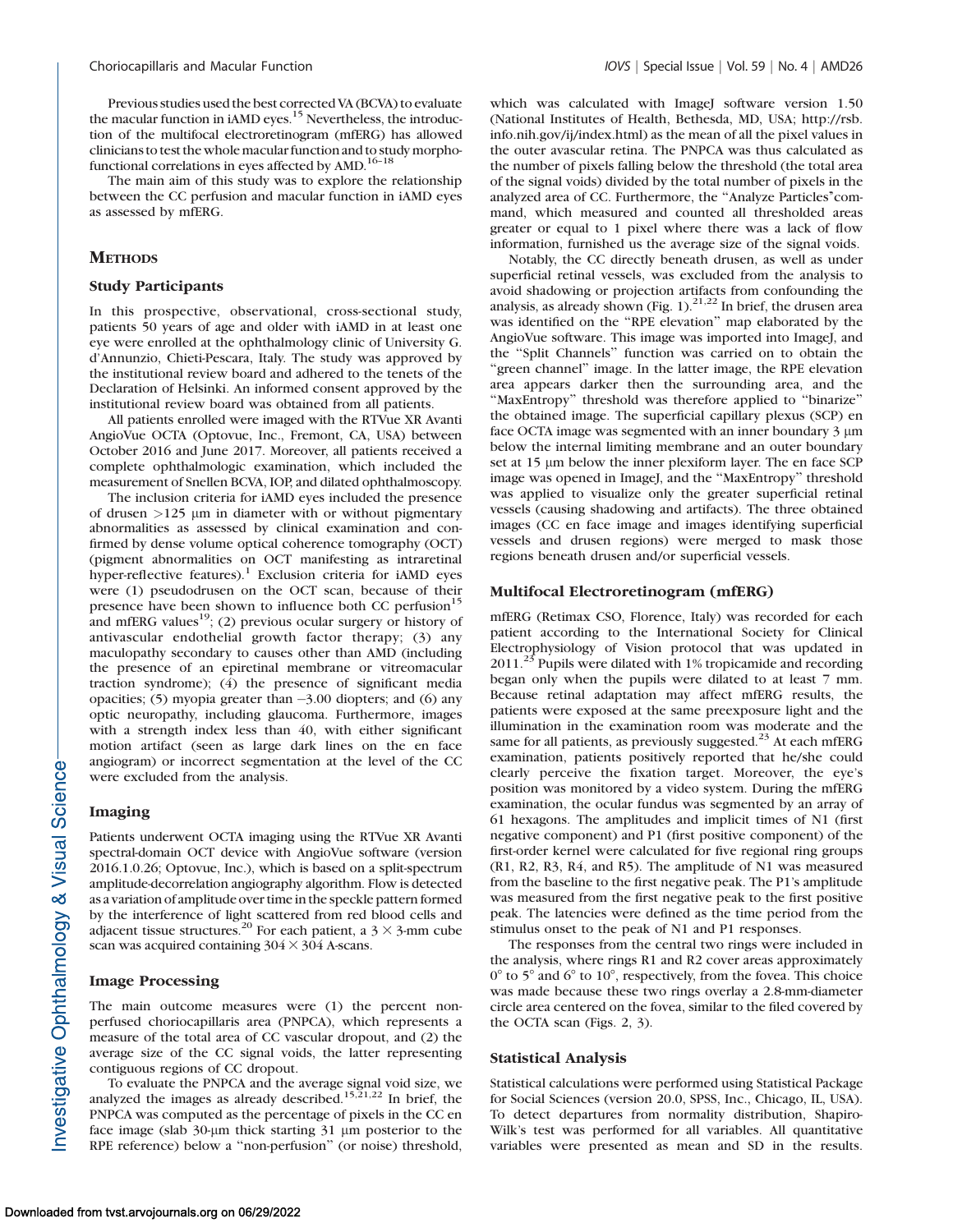Previous studies used the best corrected VA (BCVA) to evaluate the macular function in iAMD eyes.<sup>15</sup> Nevertheless, the introduction of the multifocal electroretinogram (mfERG) has allowed clinicians to test the whole macular functionand to study morphofunctional correlations in eyes affected by AMD.<sup>16-18</sup>

The main aim of this study was to explore the relationship between the CC perfusion and macular function in iAMD eyes as assessed by mfERG.

# **METHODS**

#### Study Participants

In this prospective, observational, cross-sectional study, patients 50 years of age and older with iAMD in at least one eye were enrolled at the ophthalmology clinic of University G. d'Annunzio, Chieti-Pescara, Italy. The study was approved by the institutional review board and adhered to the tenets of the Declaration of Helsinki. An informed consent approved by the institutional review board was obtained from all patients.

All patients enrolled were imaged with the RTVue XR Avanti AngioVue OCTA (Optovue, Inc., Fremont, CA, USA) between October 2016 and June 2017. Moreover, all patients received a complete ophthalmologic examination, which included the measurement of Snellen BCVA, IOP, and dilated ophthalmoscopy.

The inclusion criteria for iAMD eyes included the presence of drusen  $>125$  µm in diameter with or without pigmentary abnormalities as assessed by clinical examination and confirmed by dense volume optical coherence tomography (OCT) (pigment abnormalities on OCT manifesting as intraretinal hyper-reflective features).<sup>1</sup> Exclusion criteria for iAMD eyes were (1) pseudodrusen on the OCT scan, because of their presence have been shown to influence both CC perfusion<sup>15</sup> and mfERG values<sup>19</sup>; (2) previous ocular surgery or history of antivascular endothelial growth factor therapy; (3) any maculopathy secondary to causes other than AMD (including the presence of an epiretinal membrane or vitreomacular traction syndrome); (4) the presence of significant media opacities; (5) myopia greater than -3.00 diopters; and (6) any optic neuropathy, including glaucoma. Furthermore, images with a strength index less than 40, with either significant motion artifact (seen as large dark lines on the en face angiogram) or incorrect segmentation at the level of the CC were excluded from the analysis.

# Imaging

Patients underwent OCTA imaging using the RTVue XR Avanti spectral-domain OCT device with AngioVue software (version 2016.1.0.26; Optovue, Inc.), which is based on a split-spectrum amplitude-decorrelation angiography algorithm. Flow is detected as a variation of amplitude over time in the speckle pattern formed by the interference of light scattered from red blood cells and adjacent tissue structures.<sup>20</sup> For each patient, a  $3 \times 3$ -mm cube scan was acquired containing  $304 \times 304$  A-scans.

#### Image Processing

The main outcome measures were (1) the percent nonperfused choriocapillaris area (PNPCA), which represents a measure of the total area of CC vascular dropout, and (2) the average size of the CC signal voids, the latter representing contiguous regions of CC dropout.

To evaluate the PNPCA and the average signal void size, we analyzed the images as already described.<sup>15,21,22</sup> In brief, the PNPCA was computed as the percentage of pixels in the CC en face image (slab 30-µm thick starting 31 µm posterior to the RPE reference) below a ''non-perfusion'' (or noise) threshold, which was calculated with ImageJ software version 1.50 (National Institutes of Health, Bethesda, MD, USA; http://rsb. info.nih.gov/ij/index.html) as the mean of all the pixel values in the outer avascular retina. The PNPCA was thus calculated as the number of pixels falling below the threshold (the total area of the signal voids) divided by the total number of pixels in the analyzed area of CC. Furthermore, the ''Analyze Particles''command, which measured and counted all thresholded areas greater or equal to 1 pixel where there was a lack of flow information, furnished us the average size of the signal voids.

Notably, the CC directly beneath drusen, as well as under superficial retinal vessels, was excluded from the analysis to avoid shadowing or projection artifacts from confounding the analysis, as already shown (Fig. 1). $^{21,22}$  In brief, the drusen area was identified on the ''RPE elevation'' map elaborated by the AngioVue software. This image was imported into ImageJ, and the ''Split Channels'' function was carried on to obtain the "green channel" image. In the latter image, the RPE elevation area appears darker then the surrounding area, and the ''MaxEntropy'' threshold was therefore applied to ''binarize'' the obtained image. The superficial capillary plexus (SCP) en face OCTA image was segmented with an inner boundary 3  $\mu$ m below the internal limiting membrane and an outer boundary set at  $15 \mu m$  below the inner plexiform layer. The en face SCP image was opened in ImageJ, and the ''MaxEntropy'' threshold was applied to visualize only the greater superficial retinal vessels (causing shadowing and artifacts). The three obtained images (CC en face image and images identifying superficial vessels and drusen regions) were merged to mask those regions beneath drusen and/or superficial vessels.

## Multifocal Electroretinogram (mfERG)

mfERG (Retimax CSO, Florence, Italy) was recorded for each patient according to the International Society for Clinical Electrophysiology of Vision protocol that was updated in  $2011.<sup>25</sup>$  Pupils were dilated with 1% tropicamide and recording began only when the pupils were dilated to at least 7 mm. Because retinal adaptation may affect mfERG results, the patients were exposed at the same preexposure light and the illumination in the examination room was moderate and the same for all patients, as previously suggested.<sup>23</sup> At each mfERG examination, patients positively reported that he/she could clearly perceive the fixation target. Moreover, the eye's position was monitored by a video system. During the mfERG examination, the ocular fundus was segmented by an array of 61 hexagons. The amplitudes and implicit times of N1 (first negative component) and P1 (first positive component) of the first-order kernel were calculated for five regional ring groups (R1, R2, R3, R4, and R5). The amplitude of N1 was measured from the baseline to the first negative peak. The P1's amplitude was measured from the first negative peak to the first positive peak. The latencies were defined as the time period from the stimulus onset to the peak of N1 and P1 responses.

The responses from the central two rings were included in the analysis, where rings R1 and R2 cover areas approximately  $0^{\circ}$  to 5 $^{\circ}$  and  $6^{\circ}$  to 10 $^{\circ}$ , respectively, from the fovea. This choice was made because these two rings overlay a 2.8-mm-diameter circle area centered on the fovea, similar to the filed covered by the OCTA scan (Figs. 2, 3).

#### Statistical Analysis

Statistical calculations were performed using Statistical Package for Social Sciences (version 20.0, SPSS, Inc., Chicago, IL, USA). To detect departures from normality distribution, Shapiro-Wilk's test was performed for all variables. All quantitative variables were presented as mean and SD in the results.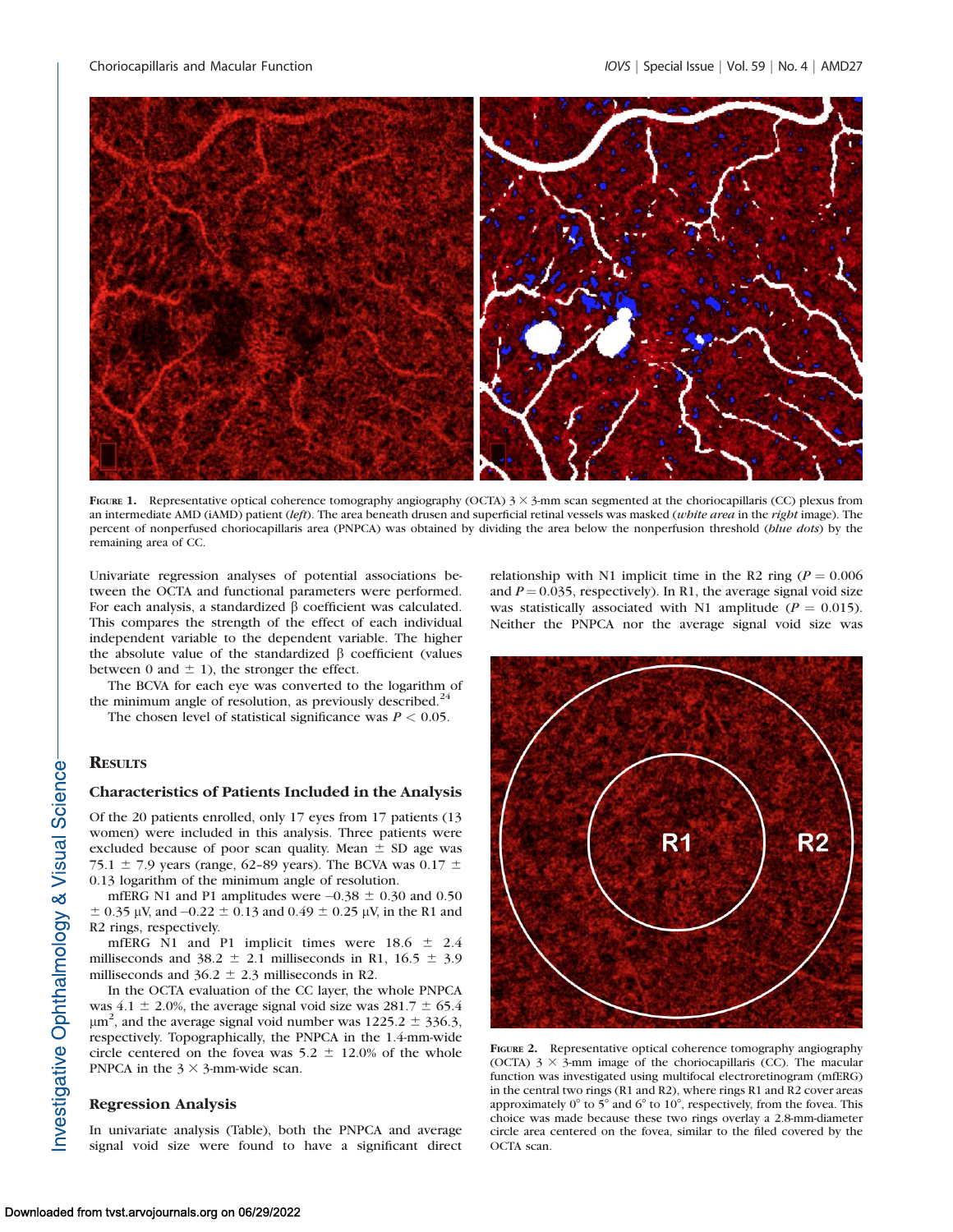

FIGURE 1. Representative optical coherence tomography angiography (OCTA)  $3 \times 3$ -mm scan segmented at the choriocapillaris (CC) plexus from an intermediate AMD (iAMD) patient (left). The area beneath drusen and superficial retinal vessels was masked (white area in the right image). The percent of nonperfused choriocapillaris area (PNPCA) was obtained by dividing the area below the nonperfusion threshold (blue dots) by the remaining area of CC.

Univariate regression analyses of potential associations between the OCTA and functional parameters were performed. For each analysis, a standardized  $\beta$  coefficient was calculated. This compares the strength of the effect of each individual independent variable to the dependent variable. The higher the absolute value of the standardized  $\beta$  coefficient (values between 0 and  $\pm$  1), the stronger the effect.

The BCVA for each eye was converted to the logarithm of the minimum angle of resolution, as previously described. $^{24}$ 

The chosen level of statistical significance was  $P < 0.05$ .

# **RESULTS**

nvestigative Ophthalmology & Visual Science-

#### Characteristics of Patients Included in the Analysis

Of the 20 patients enrolled, only 17 eyes from 17 patients (13 women) were included in this analysis. Three patients were excluded because of poor scan quality. Mean  $\pm$  SD age was 75.1  $\pm$  7.9 years (range, 62-89 years). The BCVA was 0.17  $\pm$ 0.13 logarithm of the minimum angle of resolution.

mfERG N1 and P1 amplitudes were  $-0.38 \pm 0.30$  and 0.50  $\pm$  0.35 µV, and -0.22  $\pm$  0.13 and 0.49  $\pm$  0.25 µV, in the R1 and R2 rings, respectively.

mfERG N1 and P1 implicit times were  $18.6 \pm 2.4$ milliseconds and 38.2  $\pm$  2.1 milliseconds in R1, 16.5  $\pm$  3.9 milliseconds and  $36.2 \pm 2.3$  milliseconds in R2.

In the OCTA evaluation of the CC layer, the whole PNPCA was  $4.1 \pm 2.0\%$ , the average signal void size was  $281.7 \pm 65.4$  $\mu$ m<sup>2</sup>, and the average signal void number was 1225.2  $\pm$  336.3, respectively. Topographically, the PNPCA in the 1.4-mm-wide circle centered on the fovea was  $5.2 \pm 12.0\%$  of the whole PNPCA in the  $3 \times 3$ -mm-wide scan.

## Regression Analysis

In univariate analysis (Table), both the PNPCA and average signal void size were found to have a significant direct relationship with N1 implicit time in the R2 ring ( $P = 0.006$ ) and  $P = 0.035$ , respectively). In R1, the average signal void size was statistically associated with N1 amplitude ( $P = 0.015$ ). Neither the PNPCA nor the average signal void size was



FIGURE 2. Representative optical coherence tomography angiography (OCTA)  $3 \times 3$ -mm image of the choriocapillaris (CC). The macular function was investigated using multifocal electroretinogram (mfERG) in the central two rings (R1 and R2), where rings R1 and R2 cover areas approximately  $0^{\circ}$  to  $5^{\circ}$  and  $6^{\circ}$  to  $10^{\circ}$ , respectively, from the fovea. This choice was made because these two rings overlay a 2.8-mm-diameter circle area centered on the fovea, similar to the filed covered by the OCTA scan.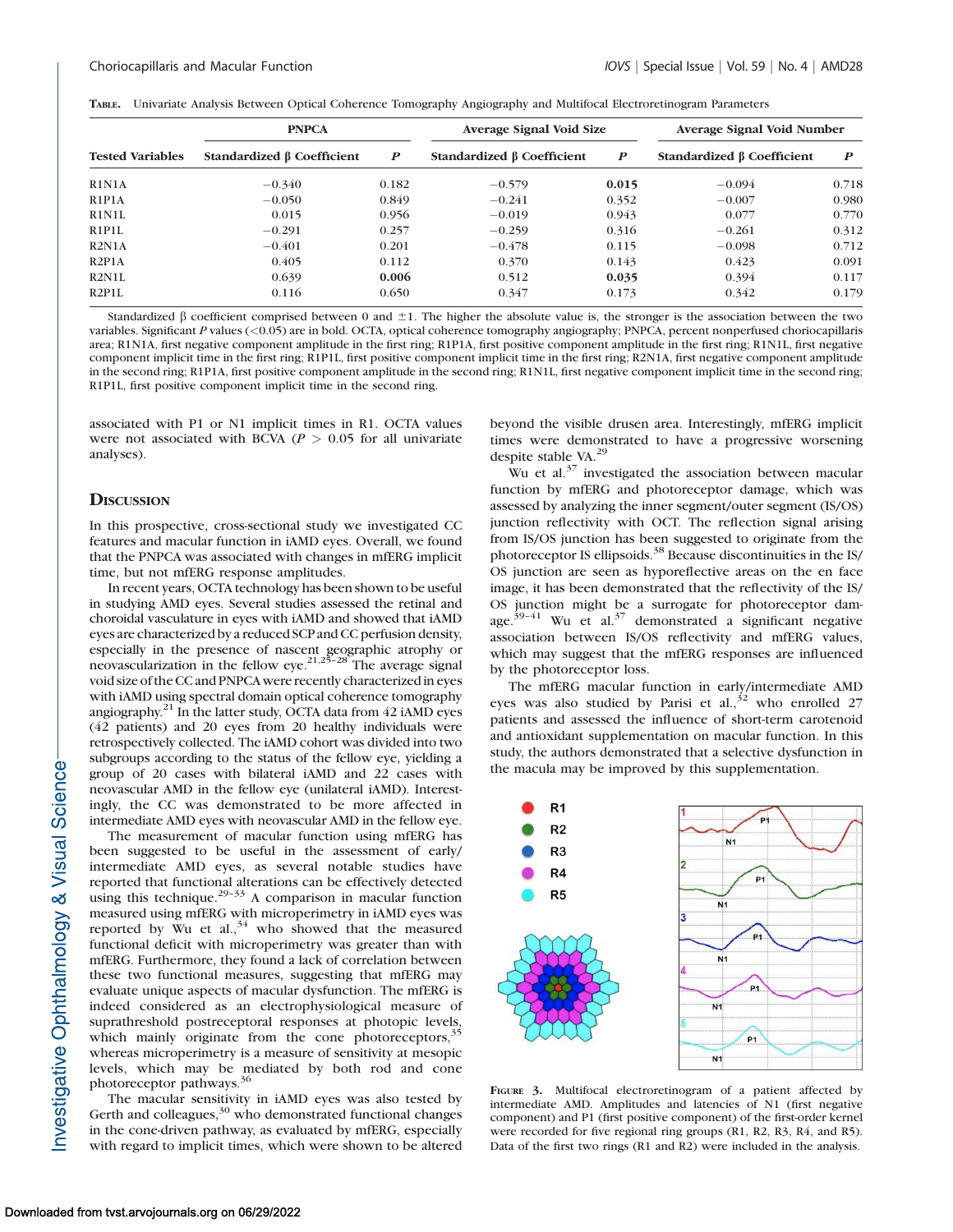|  |  |  |  | TABLE. Univariate Analysis Between Optical Coherence Tomography Angiography and Multifocal Electroretinogram Parameters |  |
|--|--|--|--|-------------------------------------------------------------------------------------------------------------------------|--|
|  |  |  |  |                                                                                                                         |  |

|                                 | <b>PNPCA</b>               |                  | Average Signal Void Size         |                  | Average Signal Void Number       |       |  |
|---------------------------------|----------------------------|------------------|----------------------------------|------------------|----------------------------------|-------|--|
| <b>Tested Variables</b>         | Standardized β Coefficient | $\boldsymbol{P}$ | Standardized $\beta$ Coefficient | $\boldsymbol{P}$ | Standardized $\beta$ Coefficient | P     |  |
| R1N1A                           | $-0.340$                   | 0.182            | $-0.579$                         | 0.015            | $-0.094$                         | 0.718 |  |
| R1P1A                           | $-0.050$                   | 0.849            | $-0.241$                         | 0.352            | $-0.007$                         | 0.980 |  |
| R1N1L                           | 0.015                      | 0.956            | $-0.019$                         | 0.943            | 0.077                            | 0.770 |  |
| R <sub>1</sub> P <sub>1</sub> L | $-0.291$                   | 0.257            | $-0.259$                         | 0.316            | $-0.261$                         | 0.312 |  |
| R2N1A                           | $-0.401$                   | 0.201            | $-0.478$                         | 0.115            | $-0.098$                         | 0.712 |  |
| R2P1A                           | 0.405                      | 0.112            | 0.370                            | 0.143            | 0.423                            | 0.091 |  |
| R2N1L                           | 0.639                      | 0.006            | 0.512                            | 0.035            | 0.394                            | 0.117 |  |
| R2P1L                           | 0.116                      | 0.650            | 0.347                            | 0.173            | 0.342                            | 0.179 |  |

Standardized  $\beta$  coefficient comprised between 0 and  $\pm 1$ . The higher the absolute value is, the stronger is the association between the two variables. Significant P values (<0.05) are in bold. OCTA, optical coherence tomography angiography; PNPCA, percent nonperfused choriocapillaris area; R1N1A, first negative component amplitude in the first ring; R1P1A, first positive component amplitude in the first ring; R1N1L, first negative component implicit time in the first ring; R1P1L, first positive component implicit time in the first ring; R2N1A, first negative component amplitude in the second ring; R1P1A, first positive component amplitude in the second ring; R1N1L, first negative component implicit time in the second ring; R1P1L, first positive component implicit time in the second ring.

associated with P1 or N1 implicit times in R1. OCTA values were not associated with BCVA ( $P > 0.05$  for all univariate analyses).

## **DISCUSSION**

In this prospective, cross-sectional study we investigated CC features and macular function in iAMD eyes. Overall, we found that the PNPCA was associated with changes in mfERG implicit time, but not mfERG response amplitudes.

In recent years, OCTA technology has been shown to be useful in studying AMD eyes. Several studies assessed the retinal and choroidal vasculature in eyes with iAMD and showed that iAMD eyes are characterized by a reduced SCP and CC perfusion density, especially in the presence of nascent geographic atrophy or neovascularization in the fellow eye.<sup>21,25–28</sup> The average signal void size of the CC and PNPCAwere recently characterized in eyes with iAMD using spectral domain optical coherence tomography angiography. $21$  In the latter study, OCTA data from 42 iAMD eyes (42 patients) and 20 eyes from 20 healthy individuals were retrospectively collected. The iAMD cohort was divided into two subgroups according to the status of the fellow eye, yielding a group of 20 cases with bilateral iAMD and 22 cases with neovascular AMD in the fellow eye (unilateral iAMD). Interestingly, the CC was demonstrated to be more affected in intermediate AMD eyes with neovascular AMD in the fellow eye.

The measurement of macular function using mfERG has been suggested to be useful in the assessment of early/ intermediate AMD eyes, as several notable studies have reported that functional alterations can be effectively detected using this technique.<sup>29-33</sup> A comparison in macular function measured using mfERG with microperimetry in iAMD eyes was reported by Wu et al., $34$  who showed that the measured functional deficit with microperimetry was greater than with mfERG. Furthermore, they found a lack of correlation between these two functional measures, suggesting that mfERG may evaluate unique aspects of macular dysfunction. The mfERG is indeed considered as an electrophysiological measure of suprathreshold postreceptoral responses at photopic levels, which mainly originate from the cone photoreceptors,<sup>35</sup> whereas microperimetry is a measure of sensitivity at mesopic levels, which may be mediated by both rod and cone<br>photoreceptor pathways.<sup>36</sup>

The macular sensitivity in iAMD eyes was also tested by Gerth and colleagues,<sup>30</sup> who demonstrated functional changes in the cone-driven pathway, as evaluated by mfERG, especially with regard to implicit times, which were shown to be altered beyond the visible drusen area. Interestingly, mfERG implicit times were demonstrated to have a progressive worsening despite stable VA.<sup>29</sup>

Wu et al. $37$  investigated the association between macular function by mfERG and photoreceptor damage, which was assessed by analyzing the inner segment/outer segment (IS/OS) junction reflectivity with OCT. The reflection signal arising from IS/OS junction has been suggested to originate from the photoreceptor IS ellipsoids.<sup>38</sup> Because discontinuities in the IS/ OS junction are seen as hyporeflective areas on the en face image, it has been demonstrated that the reflectivity of the IS/ OS junction might be a surrogate for photoreceptor damage.<sup>39–41</sup> Wu et al.<sup>37</sup> demonstrated a significant negative association between IS/OS reflectivity and mfERG values, which may suggest that the mfERG responses are influenced by the photoreceptor loss.

The mfERG macular function in early/intermediate AMD eyes was also studied by Parisi et al.,  $32$  who enrolled 27 patients and assessed the influence of short-term carotenoid and antioxidant supplementation on macular function. In this study, the authors demonstrated that a selective dysfunction in the macula may be improved by this supplementation.



FIGURE 3. Multifocal electroretinogram of a patient affected by intermediate AMD. Amplitudes and latencies of N1 (first negative component) and P1 (first positive component) of the first-order kernel were recorded for five regional ring groups (R1, R2, R3, R4, and R5). Data of the first two rings (R1 and R2) were included in the analysis.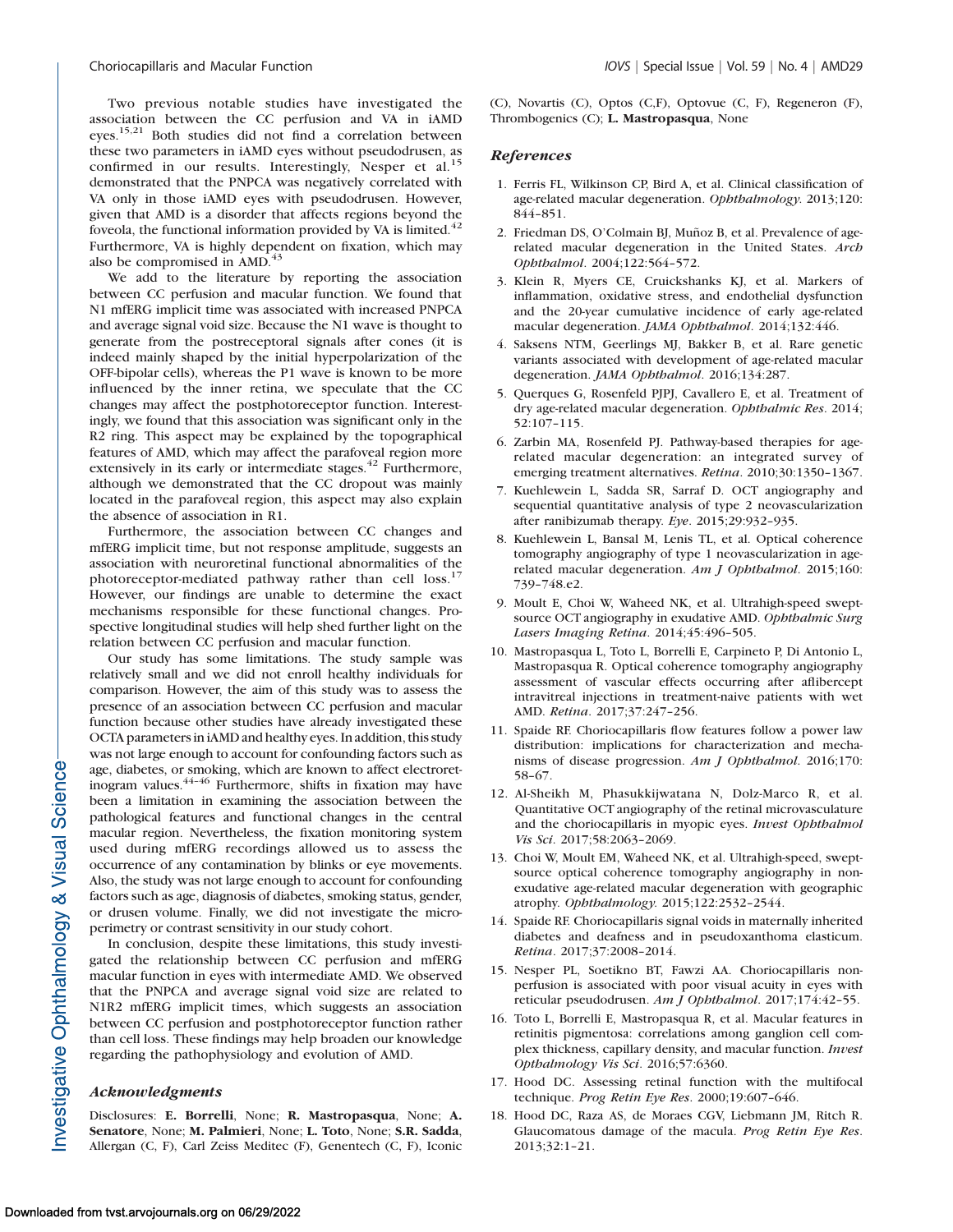Two previous notable studies have investigated the association between the CC perfusion and VA in iAMD eyes.15,21 Both studies did not find a correlation between these two parameters in iAMD eyes without pseudodrusen, as confirmed in our results. Interestingly, Nesper et al.<sup>15</sup> demonstrated that the PNPCA was negatively correlated with VA only in those iAMD eyes with pseudodrusen. However, given that AMD is a disorder that affects regions beyond the foveola, the functional information provided by VA is limited. $42$ Furthermore, VA is highly dependent on fixation, which may also be compromised in AMD.<sup>43</sup>

We add to the literature by reporting the association between CC perfusion and macular function. We found that N1 mfERG implicit time was associated with increased PNPCA and average signal void size. Because the N1 wave is thought to generate from the postreceptoral signals after cones (it is indeed mainly shaped by the initial hyperpolarization of the OFF-bipolar cells), whereas the P1 wave is known to be more influenced by the inner retina, we speculate that the CC changes may affect the postphotoreceptor function. Interestingly, we found that this association was significant only in the R2 ring. This aspect may be explained by the topographical features of AMD, which may affect the parafoveal region more extensively in its early or intermediate stages.<sup>42</sup> Furthermore, although we demonstrated that the CC dropout was mainly located in the parafoveal region, this aspect may also explain the absence of association in R1.

Furthermore, the association between CC changes and mfERG implicit time, but not response amplitude, suggests an association with neuroretinal functional abnormalities of the photoreceptor-mediated pathway rather than cell loss.<sup>17</sup> However, our findings are unable to determine the exact mechanisms responsible for these functional changes. Prospective longitudinal studies will help shed further light on the relation between CC perfusion and macular function.

Our study has some limitations. The study sample was relatively small and we did not enroll healthy individuals for comparison. However, the aim of this study was to assess the presence of an association between CC perfusion and macular function because other studies have already investigated these OCTA parameters in iAMD and healthy eyes. In addition, this study was not large enough to account for confounding factors such as age, diabetes, or smoking, which are known to affect electroretinogram values.<sup>44-46</sup> Furthermore, shifts in fixation may have been a limitation in examining the association between the pathological features and functional changes in the central macular region. Nevertheless, the fixation monitoring system used during mfERG recordings allowed us to assess the occurrence of any contamination by blinks or eye movements. Also, the study was not large enough to account for confounding factors such as age, diagnosis of diabetes, smoking status, gender, or drusen volume. Finally, we did not investigate the microperimetry or contrast sensitivity in our study cohort.

In conclusion, despite these limitations, this study investigated the relationship between CC perfusion and mfERG macular function in eyes with intermediate AMD. We observed that the PNPCA and average signal void size are related to N1R2 mfERG implicit times, which suggests an association between CC perfusion and postphotoreceptor function rather than cell loss. These findings may help broaden our knowledge regarding the pathophysiology and evolution of AMD.

## Acknowledgments

Disclosures: E. Borrelli, None; R. Mastropasqua, None; A. Senatore, None; M. Palmieri, None; L. Toto, None; S.R. Sadda, Allergan (C, F), Carl Zeiss Meditec (F), Genentech (C, F), Iconic (C), Novartis (C), Optos (C,F), Optovue (C, F), Regeneron (F), Thrombogenics (C); L. Mastropasqua, None

# **References**

- 1. Ferris FL, Wilkinson CP, Bird A, et al. Clinical classification of age-related macular degeneration. Ophthalmology. 2013;120: 844–851.
- 2. Friedman DS, O'Colmain BJ, Muñoz B, et al. Prevalence of agerelated macular degeneration in the United States. Arch Ophthalmol. 2004;122:564–572.
- 3. Klein R, Myers CE, Cruickshanks KJ, et al. Markers of inflammation, oxidative stress, and endothelial dysfunction and the 20-year cumulative incidence of early age-related macular degeneration. JAMA Ophthalmol. 2014;132:446.
- 4. Saksens NTM, Geerlings MJ, Bakker B, et al. Rare genetic variants associated with development of age-related macular degeneration. JAMA Ophthalmol. 2016;134:287.
- 5. Querques G, Rosenfeld PJPJ, Cavallero E, et al. Treatment of dry age-related macular degeneration. Ophthalmic Res. 2014; 52:107–115.
- 6. Zarbin MA, Rosenfeld PJ. Pathway-based therapies for agerelated macular degeneration: an integrated survey of emerging treatment alternatives. Retina. 2010;30:1350–1367.
- 7. Kuehlewein L, Sadda SR, Sarraf D. OCT angiography and sequential quantitative analysis of type 2 neovascularization after ranibizumab therapy. Eye. 2015;29:932–935.
- 8. Kuehlewein L, Bansal M, Lenis TL, et al. Optical coherence tomography angiography of type 1 neovascularization in agerelated macular degeneration. Am J Ophthalmol. 2015;160: 739–748.e2.
- 9. Moult E, Choi W, Waheed NK, et al. Ultrahigh-speed sweptsource OCT angiography in exudative AMD. Ophthalmic Surg Lasers Imaging Retina. 2014;45:496–505.
- 10. Mastropasqua L, Toto L, Borrelli E, Carpineto P, Di Antonio L, Mastropasqua R. Optical coherence tomography angiography assessment of vascular effects occurring after aflibercept intravitreal injections in treatment-naive patients with wet AMD. Retina. 2017;37:247–256.
- 11. Spaide RF. Choriocapillaris flow features follow a power law distribution: implications for characterization and mechanisms of disease progression. Am J Ophthalmol. 2016;170: 58–67.
- 12. Al-Sheikh M, Phasukkijwatana N, Dolz-Marco R, et al. Quantitative OCT angiography of the retinal microvasculature and the choriocapillaris in myopic eyes. Invest Ophthalmol Vis Sci. 2017;58:2063–2069.
- 13. Choi W, Moult EM, Waheed NK, et al. Ultrahigh-speed, sweptsource optical coherence tomography angiography in nonexudative age-related macular degeneration with geographic atrophy. Ophthalmology. 2015;122:2532–2544.
- 14. Spaide RF. Choriocapillaris signal voids in maternally inherited diabetes and deafness and in pseudoxanthoma elasticum. Retina. 2017;37:2008–2014.
- 15. Nesper PL, Soetikno BT, Fawzi AA. Choriocapillaris nonperfusion is associated with poor visual acuity in eyes with reticular pseudodrusen. Am J Ophthalmol. 2017;174:42–55.
- 16. Toto L, Borrelli E, Mastropasqua R, et al. Macular features in retinitis pigmentosa: correlations among ganglion cell complex thickness, capillary density, and macular function. Invest Opthalmology Vis Sci. 2016;57:6360.
- 17. Hood DC. Assessing retinal function with the multifocal technique. Prog Retin Eye Res. 2000;19:607–646.
- 18. Hood DC, Raza AS, de Moraes CGV, Liebmann JM, Ritch R. Glaucomatous damage of the macula. Prog Retin Eye Res. 2013;32:1–21.